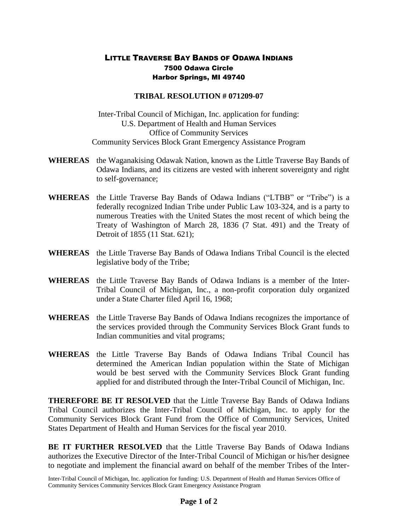## LITTLE TRAVERSE BAY BANDS OF ODAWA INDIANS 7500 Odawa Circle Harbor Springs, MI 49740

## **TRIBAL RESOLUTION # 071209-07**

Inter-Tribal Council of Michigan, Inc. application for funding: U.S. Department of Health and Human Services Office of Community Services Community Services Block Grant Emergency Assistance Program

- **WHEREAS** the Waganakising Odawak Nation, known as the Little Traverse Bay Bands of Odawa Indians, and its citizens are vested with inherent sovereignty and right to self-governance;
- **WHEREAS** the Little Traverse Bay Bands of Odawa Indians ("LTBB" or "Tribe") is a federally recognized Indian Tribe under Public Law 103-324, and is a party to numerous Treaties with the United States the most recent of which being the Treaty of Washington of March 28, 1836 (7 Stat. 491) and the Treaty of Detroit of 1855 (11 Stat. 621);
- **WHEREAS** the Little Traverse Bay Bands of Odawa Indians Tribal Council is the elected legislative body of the Tribe;
- **WHEREAS** the Little Traverse Bay Bands of Odawa Indians is a member of the Inter-Tribal Council of Michigan, Inc., a non-profit corporation duly organized under a State Charter filed April 16, 1968;
- **WHEREAS** the Little Traverse Bay Bands of Odawa Indians recognizes the importance of the services provided through the Community Services Block Grant funds to Indian communities and vital programs;
- **WHEREAS** the Little Traverse Bay Bands of Odawa Indians Tribal Council has determined the American Indian population within the State of Michigan would be best served with the Community Services Block Grant funding applied for and distributed through the Inter-Tribal Council of Michigan, Inc.

**THEREFORE BE IT RESOLVED** that the Little Traverse Bay Bands of Odawa Indians Tribal Council authorizes the Inter-Tribal Council of Michigan, Inc. to apply for the Community Services Block Grant Fund from the Office of Community Services, United States Department of Health and Human Services for the fiscal year 2010.

**BE IT FURTHER RESOLVED** that the Little Traverse Bay Bands of Odawa Indians authorizes the Executive Director of the Inter-Tribal Council of Michigan or his/her designee to negotiate and implement the financial award on behalf of the member Tribes of the Inter-

Inter-Tribal Council of Michigan, Inc. application for funding: U.S. Department of Health and Human Services Office of Community Services Community Services Block Grant Emergency Assistance Program